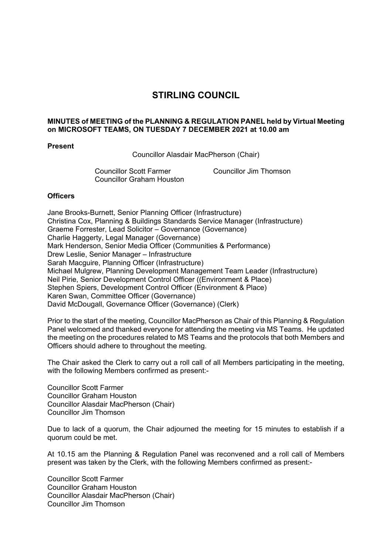## **STIRLING COUNCIL**

## **MINUTES of MEETING of the PLANNING & REGULATION PANEL held by Virtual Meeting on MICROSOFT TEAMS, ON TUESDAY 7 DECEMBER 2021 at 10.00 am**

## **Present**

Councillor Alasdair MacPherson (Chair)

Councillor Scott Farmer Councillor Jim Thomson Councillor Graham Houston

## **Officers**

Jane Brooks-Burnett, Senior Planning Officer (Infrastructure) Christina Cox, Planning & Buildings Standards Service Manager (Infrastructure) Graeme Forrester, Lead Solicitor – Governance (Governance) Charlie Haggerty, Legal Manager (Governance) Mark Henderson, Senior Media Officer (Communities & Performance) Drew Leslie, Senior Manager – Infrastructure Sarah Macguire, Planning Officer (Infrastructure) Michael Mulgrew, Planning Development Management Team Leader (Infrastructure) Neil Pirie, Senior Development Control Officer ((Environment & Place) Stephen Spiers, Development Control Officer (Environment & Place) Karen Swan, Committee Officer (Governance) David McDougall, Governance Officer (Governance) (Clerk)

Prior to the start of the meeting, Councillor MacPherson as Chair of this Planning & Regulation Panel welcomed and thanked everyone for attending the meeting via MS Teams. He updated the meeting on the procedures related to MS Teams and the protocols that both Members and Officers should adhere to throughout the meeting.

The Chair asked the Clerk to carry out a roll call of all Members participating in the meeting, with the following Members confirmed as present:-

Councillor Scott Farmer Councillor Graham Houston Councillor Alasdair MacPherson (Chair) Councillor Jim Thomson

Due to lack of a quorum, the Chair adjourned the meeting for 15 minutes to establish if a quorum could be met.

At 10.15 am the Planning & Regulation Panel was reconvened and a roll call of Members present was taken by the Clerk, with the following Members confirmed as present:-

Councillor Scott Farmer Councillor Graham Houston Councillor Alasdair MacPherson (Chair) Councillor Jim Thomson